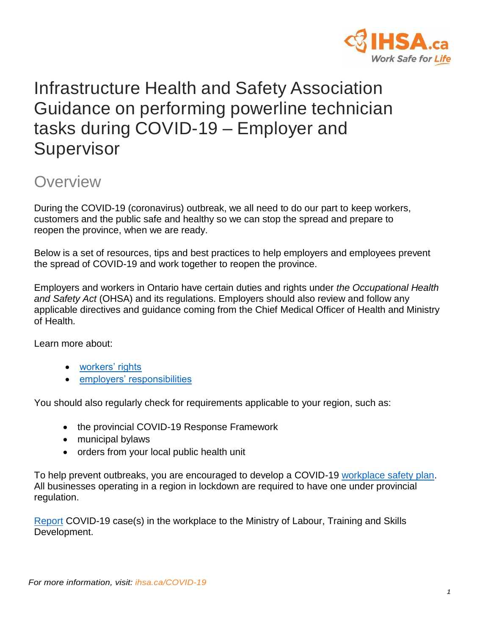

# Infrastructure Health and Safety Association Guidance on performing powerline technician tasks during COVID-19 – Employer and **Supervisor**

### **Overview**

During the COVID-19 (coronavirus) outbreak, we all need to do our part to keep workers, customers and the public safe and healthy so we can stop the spread and prepare to reopen the province, when we are ready.

Below is a set of resources, tips and best practices to help employers and employees prevent the spread of COVID-19 and work together to reopen the province.

Employers and workers in Ontario have certain duties and rights under *the Occupational Health and Safety Act* (OHSA) and its regulations. Employers should also review and follow any applicable directives and guidance coming from the Chief Medical Officer of Health and Ministry of Health.

Learn more about:

- [workers' rights](https://www.ontario.ca/page/covid-19-support-workers#rights)
- [employers' responsibilities](https://covid-19.ontario.ca/covid-19-help-businesses-ontario#section-5)

You should also regularly check for requirements applicable to your region, such as:

- the provincial COVID-19 Response Framework
- municipal bylaws
- orders from your local public health unit

To help prevent outbreaks, you are encouraged to develop a COVID-19 [workplace safety plan.](https://www.ontario.ca/page/develop-your-covid-19-workplace-safety-plan) All businesses operating in a region in lockdown are required to have one under provincial regulation.

[Report](https://www.ontario.ca/page/covid-19-coronavirus-and-workplace-health-and-safety) COVID-19 case(s) in the workplace to the Ministry of Labour, Training and Skills Development.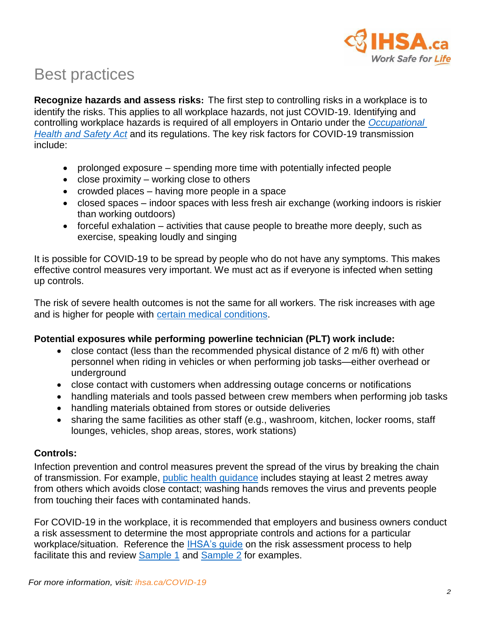

## Best practices

**Recognize hazards and assess risks:** The first step to controlling risks in a workplace is to identify the risks. This applies to all workplace hazards, not just COVID-19. Identifying and controlling workplace hazards is required of all employers in Ontario under the *[Occupational](https://www.ontario.ca/document/guide-occupational-health-and-safety-act)  [Health and Safety Act](https://www.ontario.ca/document/guide-occupational-health-and-safety-act)* and its regulations. The key risk factors for COVID-19 transmission include:

- prolonged exposure spending more time with potentially infected people
- close proximity working close to others
- crowded places having more people in a space
- closed spaces indoor spaces with less fresh air exchange (working indoors is riskier than working outdoors)
- forceful exhalation activities that cause people to breathe more deeply, such as exercise, speaking loudly and singing

It is possible for COVID-19 to be spread by people who do not have any symptoms. This makes effective control measures very important. We must act as if everyone is infected when setting up controls.

The risk of severe health outcomes is not the same for all workers. The risk increases with age and is higher for people with [certain medical conditions.](https://www.ontario.ca/page/covid-19-stop-spread#section-0)

#### **Potential exposures while performing powerline technician (PLT) work include:**

- close contact (less than the recommended physical distance of 2 m/6 ft) with other personnel when riding in vehicles or when performing job tasks—either overhead or underground
- close contact with customers when addressing outage concerns or notifications
- handling materials and tools passed between crew members when performing job tasks
- handling materials obtained from stores or outside deliveries
- sharing the same facilities as other staff (e.g., washroom, kitchen, locker rooms, staff lounges, vehicles, shop areas, stores, work stations)

#### **Controls:**

Infection prevention and control measures prevent the spread of the virus by breaking the chain of transmission. For example, [public health](https://www.ontario.ca/page/covid-19-stop-spread#section-1) guidance includes staying at least 2 metres away from others which avoids close contact; washing hands removes the virus and prevents people from touching their faces with contaminated hands.

For COVID-19 in the workplace, it is recommended that employers and business owners conduct a risk assessment to determine the most appropriate controls and actions for a particular workplace/situation. Reference the [IHSA's guide](https://www.ihsa.ca/pdfs/magazine/volume_20_Issue_2/risk-assessment-covid-19.pdf) on the risk assessment process to help facilitate this and review [Sample 1](https://www.ihsa.ca/pdfs/magazine/volume_20_Issue_2/risk-assessment-form-covid-19-sample-1.pdf) and [Sample 2](https://www.ihsa.ca/pdfs/magazine/volume_20_Issue_2/risk-assessment-form-covid-19-sample-2.pdf) for examples.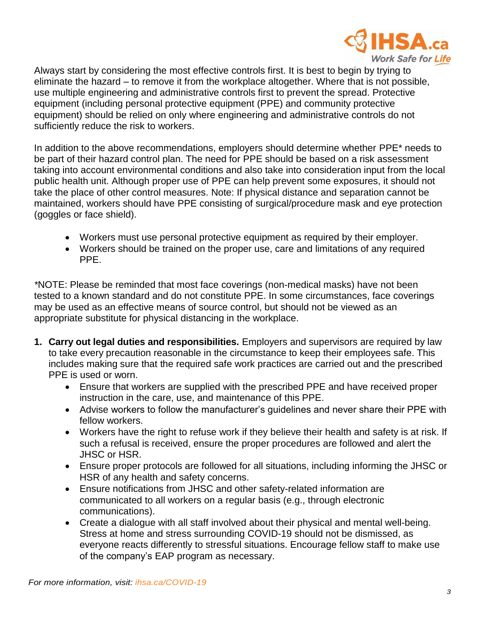

Always start by considering the most effective controls first. It is best to begin by trying to eliminate the hazard – to remove it from the workplace altogether. Where that is not possible, use multiple engineering and administrative controls first to prevent the spread. Protective equipment (including personal protective equipment (PPE) and community protective equipment) should be relied on only where engineering and administrative controls do not sufficiently reduce the risk to workers.

In addition to the above recommendations, employers should determine whether PPE\* needs to be part of their hazard control plan. The need for PPE should be based on a risk assessment taking into account environmental conditions and also take into consideration input from the local public health unit. Although proper use of PPE can help prevent some exposures, it should not take the place of other control measures. Note: If physical distance and separation cannot be maintained, workers should have PPE consisting of surgical/procedure mask and eye protection (goggles or face shield).

- Workers must use personal protective equipment as required by their employer.
- Workers should be trained on the proper use, care and limitations of any required PPE.

*\**NOTE: Please be reminded that most face coverings (non-medical masks) have not been tested to a known standard and do not constitute PPE. In some circumstances, face coverings may be used as an effective means of source control, but should not be viewed as an appropriate substitute for physical distancing in the workplace.

- **1. Carry out legal duties and responsibilities.** Employers and supervisors are required by law to take every precaution reasonable in the circumstance to keep their employees safe. This includes making sure that the required safe work practices are carried out and the prescribed PPE is used or worn.
	- Ensure that workers are supplied with the prescribed PPE and have received proper instruction in the care, use, and maintenance of this PPE.
	- Advise workers to follow the manufacturer's guidelines and never share their PPE with fellow workers.
	- Workers have the right to refuse work if they believe their health and safety is at risk. If such a refusal is received, ensure the proper procedures are followed and alert the JHSC or HSR.
	- Ensure proper protocols are followed for all situations, including informing the JHSC or HSR of any health and safety concerns.
	- Ensure notifications from JHSC and other safety-related information are communicated to all workers on a regular basis (e.g., through electronic communications).
	- Create a dialogue with all staff involved about their physical and mental well-being. Stress at home and stress surrounding COVID-19 should not be dismissed, as everyone reacts differently to stressful situations. Encourage fellow staff to make use of the company's EAP program as necessary.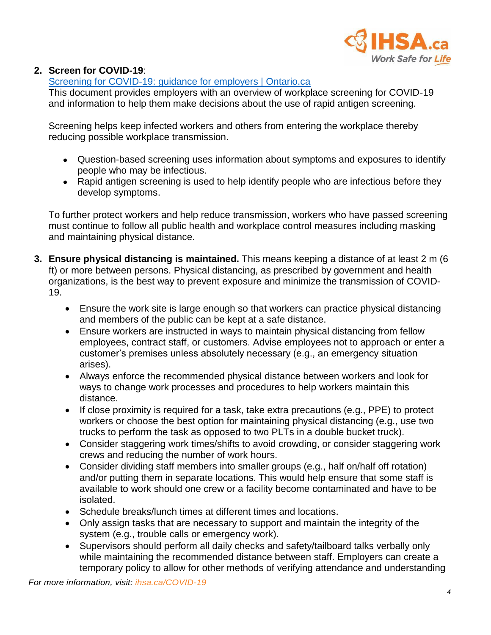

#### **2. Screen for COVID-19**:

#### [Screening for COVID-19: guidance for employers | Ontario.ca](https://www.ontario.ca/page/screening-covid-19-guidance-employers)

This document provides employers with an overview of workplace screening for COVID-19 and information to help them make decisions about the use of rapid antigen screening.

Screening helps keep infected workers and others from entering the workplace thereby reducing possible workplace transmission.

- Question-based screening uses information about symptoms and exposures to identify people who may be infectious.
- Rapid antigen screening is used to help identify people who are infectious before they develop symptoms.

To further protect workers and help reduce transmission, workers who have passed screening must continue to follow all public health and workplace control measures including masking and maintaining physical distance.

- **3. Ensure physical distancing is maintained.** This means keeping a distance of at least 2 m (6 ft) or more between persons. Physical distancing, as prescribed by government and health organizations, is the best way to prevent exposure and minimize the transmission of COVID-19.
	- Ensure the work site is large enough so that workers can practice physical distancing and members of the public can be kept at a safe distance.
	- Ensure workers are instructed in ways to maintain physical distancing from fellow employees, contract staff, or customers. Advise employees not to approach or enter a customer's premises unless absolutely necessary (e.g., an emergency situation arises).
	- Always enforce the recommended physical distance between workers and look for ways to change work processes and procedures to help workers maintain this distance.
	- If close proximity is required for a task, take extra precautions (e.g., PPE) to protect workers or choose the best option for maintaining physical distancing (e.g., use two trucks to perform the task as opposed to two PLTs in a double bucket truck).
	- Consider staggering work times/shifts to avoid crowding, or consider staggering work crews and reducing the number of work hours.
	- Consider dividing staff members into smaller groups (e.g., half on/half off rotation) and/or putting them in separate locations. This would help ensure that some staff is available to work should one crew or a facility become contaminated and have to be isolated.
	- Schedule breaks/lunch times at different times and locations.
	- Only assign tasks that are necessary to support and maintain the integrity of the system (e.g., trouble calls or emergency work).
	- Supervisors should perform all daily checks and safety/tailboard talks verbally only while maintaining the recommended distance between staff. Employers can create a temporary policy to allow for other methods of verifying attendance and understanding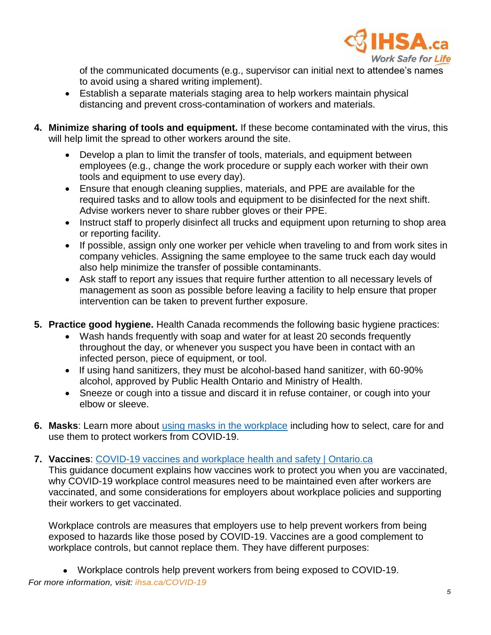

of the communicated documents (e.g., supervisor can initial next to attendee's names to avoid using a shared writing implement).

- Establish a separate materials staging area to help workers maintain physical distancing and prevent cross-contamination of workers and materials.
- **4. Minimize sharing of tools and equipment.** If these become contaminated with the virus, this will help limit the spread to other workers around the site.
	- Develop a plan to limit the transfer of tools, materials, and equipment between employees (e.g., change the work procedure or supply each worker with their own tools and equipment to use every day).
	- Ensure that enough cleaning supplies, materials, and PPE are available for the required tasks and to allow tools and equipment to be disinfected for the next shift. Advise workers never to share rubber gloves or their PPE.
	- Instruct staff to properly disinfect all trucks and equipment upon returning to shop area or reporting facility.
	- If possible, assign only one worker per vehicle when traveling to and from work sites in company vehicles. Assigning the same employee to the same truck each day would also help minimize the transfer of possible contaminants.
	- Ask staff to report any issues that require further attention to all necessary levels of management as soon as possible before leaving a facility to help ensure that proper intervention can be taken to prevent further exposure.
- **5. Practice good hygiene.** Health Canada recommends the following basic hygiene practices:
	- Wash hands frequently with soap and water for at least 20 seconds frequently throughout the day, or whenever you suspect you have been in contact with an infected person, piece of equipment, or tool.
	- If using hand sanitizers, they must be alcohol-based hand sanitizer, with 60-90% alcohol, approved by Public Health Ontario and Ministry of Health.
	- Sneeze or cough into a tissue and discard it in refuse container, or cough into your elbow or sleeve.
- **6. Masks**: Learn more about [using masks in the workplace](https://www.ontario.ca/page/using-masks-workplace) including how to select, care for and use them to protect workers from COVID-19.
- **7. Vaccines**: [COVID-19 vaccines and workplace health and safety | Ontario.ca](https://www.ontario.ca/page/covid-19-vaccines-and-workplace-health-and-safety)

This guidance document explains how vaccines work to protect you when you are vaccinated, why COVID-19 workplace control measures need to be maintained even after workers are vaccinated, and some considerations for employers about workplace policies and supporting their workers to get vaccinated.

Workplace controls are measures that employers use to help prevent workers from being exposed to hazards like those posed by COVID-19. Vaccines are a good complement to workplace controls, but cannot replace them. They have different purposes:

*For more information, visit: ihsa.ca/COVID-19* Workplace controls help prevent workers from being exposed to COVID-19.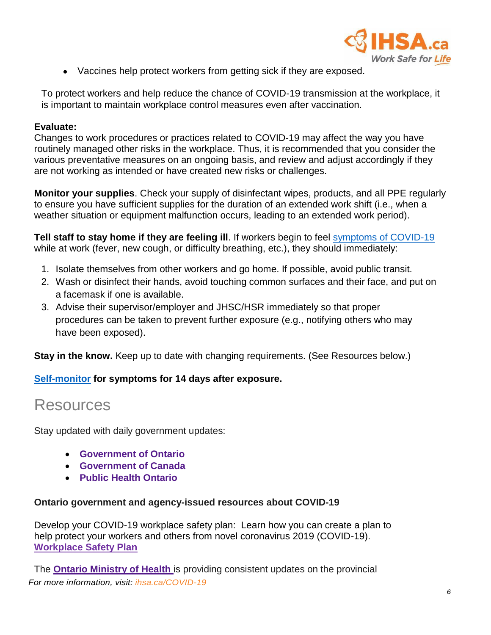

Vaccines help protect workers from getting sick if they are exposed.

To protect workers and help reduce the chance of COVID-19 transmission at the workplace, it is important to maintain workplace control measures even after vaccination.

#### **Evaluate:**

Changes to work procedures or practices related to COVID-19 may affect the way you have routinely managed other risks in the workplace. Thus, it is recommended that you consider the various preventative measures on an ongoing basis, and review and adjust accordingly if they are not working as intended or have created new risks or challenges.

**Monitor your supplies**. Check your supply of disinfectant wipes, products, and all PPE regularly to ensure you have sufficient supplies for the duration of an extended work shift (i.e., when a weather situation or equipment malfunction occurs, leading to an extended work period).

**Tell staff to stay home if they are feeling ill**. If workers begin to feel [symptoms of COVID-19](https://covid-19.ontario.ca/self-assessment/) while at work (fever, new cough, or difficulty breathing, etc.), they should immediately:

- 1. Isolate themselves from other workers and go home. If possible, avoid public transit.
- 2. Wash or disinfect their hands, avoid touching common surfaces and their face, and put on a facemask if one is available.
- 3. Advise their supervisor/employer and JHSC/HSR immediately so that proper procedures can be taken to prevent further exposure (e.g., notifying others who may have been exposed).

**Stay in the know.** Keep up to date with changing requirements. (See Resources below.)

#### **[Self-monitor](https://www.publichealthontario.ca/-/media/documents/ncov/factsheet-covid-19-self-monitor.pdf?la=en) for symptoms for 14 days after exposure.**

### Resources

Stay updated with daily government updates:

- **[Government](https://www.ontario.ca/page/2019-novel-coronavirus) of Ontario**
- **[Government](http://www.canada.ca/coronavirus) of Canada**
- **Public [Health Ontario](https://www.publichealthontario.ca/en/diseases-and-conditions/infectious-diseases/respiratory-diseases/novel-coronavirus)**

#### **Ontario government and agency-issued resources about COVID-19**

Develop your COVID-19 workplace safety plan: Learn how you can create a plan to help protect your workers and others from novel coronavirus 2019 (COVID-19). **Workplace [Safety Plan](https://www.ontario.ca/page/develop-your-covid-19-workplace-safety-plan)**

*For more information, visit: ihsa.ca/COVID-19* The **Ontario [Ministry](https://www.ontario.ca/page/2019-novel-coronavirus) of Health** is providing consistent updates on the provincial